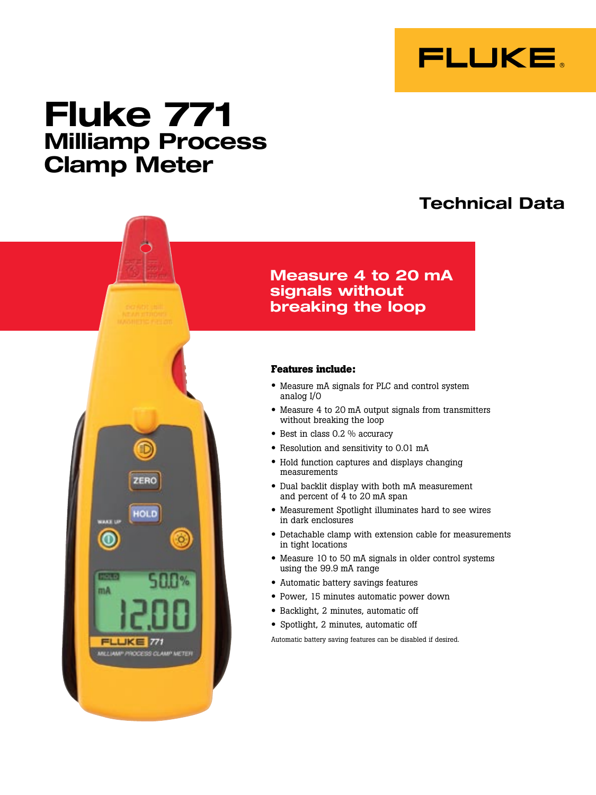

# **Fluke 771 Milliamp Process Clamp Meter**

ZERO

HOLD

 $\circ$ 

 $\odot$ 

mA

**FLUKE 771** MILLIAMP PROCESS CLAMP METER

# **Technical Data**

### **Measure 4 to 20 mA signals without breaking the loop**

#### **Features include:**

- Measure mA signals for PLC and control system analog I/O
- Measure 4 to 20 mA output signals from transmitters without breaking the loop
- Best in class 0.2 % accuracy
- • Resolution and sensitivity to 0.01 mA
- • Hold function captures and displays changing measurements
- • Dual backlit display with both mA measurement and percent of 4 to 20 mA span
- • Measurement Spotlight illuminates hard to see wires in dark enclosures
- • Detachable clamp with extension cable for measurements in tight locations
- Measure 10 to 50 mA signals in older control systems using the 99.9 mA range
- • Automatic battery savings features
- • Power, 15 minutes automatic power down
- • Backlight, 2 minutes, automatic off
- Spotlight, 2 minutes, automatic off

Automatic battery saving features can be disabled if desired.